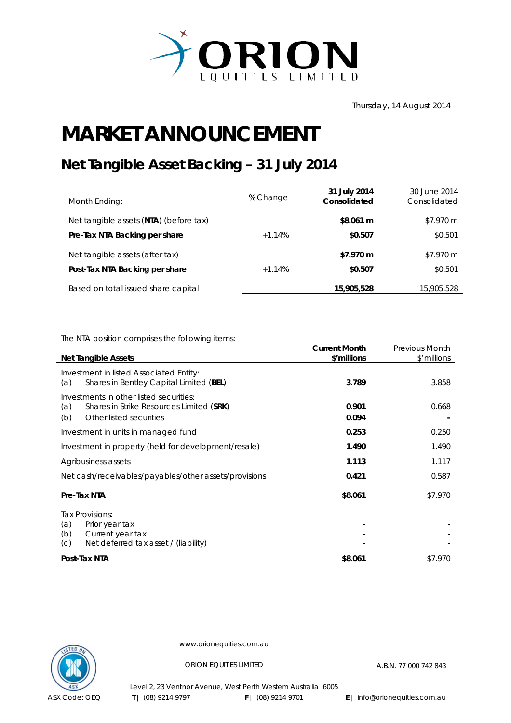

## **MARKET ANNOUNCEMENT**

## **Net Tangible Asset Backing – 31 July 2014**

| Month Ending:                          | % Change | 31 July 2014<br>Consolidated | 30 June 2014<br>Consolidated |
|----------------------------------------|----------|------------------------------|------------------------------|
| Net tangible assets (NTA) (before tax) |          | \$8.061 m                    | \$7.970 m                    |
| Pre-Tax NTA Backing per share          | $+1.14%$ | \$0.507                      | \$0.501                      |
| Net tangible assets (after tax)        |          | \$7.970 m                    | \$7.970 m                    |
| Post-Tax NTA Backing per share         | $+1.14%$ | \$0.507                      | \$0.501                      |
| Based on total issued share capital    |          | 15,905,528                   | 15,905,528                   |

The NTA position comprises the following items:

|                                                                                                                              | <b>Current Month</b> | <b>Previous Month</b> |
|------------------------------------------------------------------------------------------------------------------------------|----------------------|-----------------------|
| <b>Net Tangible Assets</b>                                                                                                   | \$'millions          | \$'millions           |
| Investment in listed Associated Entity:<br>Shares in Bentley Capital Limited (BEL)<br>(a)                                    | 3.789                | 3.858                 |
| Investments in other listed securities:<br>Shares in Strike Resources Limited (SRK)<br>(a)<br>(b)<br>Other listed securities | 0.901<br>0.094       | 0.668                 |
| Investment in units in managed fund                                                                                          | 0.253                | 0.250                 |
| Investment in property (held for development/resale)                                                                         | 1.490                | 1.490                 |
| Agribusiness assets                                                                                                          | 1.113                | 1.117                 |
| Net cash/receivables/payables/other assets/provisions                                                                        | 0.421                | 0.587                 |
| Pre-Tax NTA                                                                                                                  | \$8.061              | \$7.970               |
| Tax Provisions:<br>(a)<br>Prior year tax<br>(b)<br>Current year tax<br>Net deferred tax asset / (liability)<br>(C)           |                      |                       |
| Post-Tax NTA                                                                                                                 | \$8.061              | \$7.970               |



l,

www.orionequities.com.au

ORION EQUITIES LIMITED A.B.N. 77 000 742 843

Level 2, 23 Ventnor Avenue, West Perth Western Australia 6005  **T** | (08) 9214 9797 **F** | (08) 9214 9701 **E** | info@orionequities.com.au